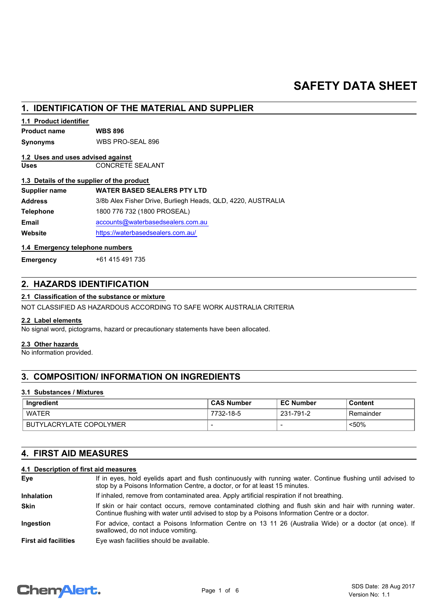# **SAFETY DATA SHEET**

| 1. IDENTIFICATION OF THE MATERIAL AND SUPPLIER |                                                              |  |
|------------------------------------------------|--------------------------------------------------------------|--|
| 1.1 Product identifier                         |                                                              |  |
| <b>Product name</b>                            | <b>WBS 896</b>                                               |  |
| Synonyms                                       | WBS PRO-SEAL 896                                             |  |
| 1.2 Uses and uses advised against              |                                                              |  |
| <b>Uses</b>                                    | <b>CONCRETE SEALANT</b>                                      |  |
| 1.3 Details of the supplier of the product     |                                                              |  |
| Supplier name                                  | <b>WATER BASED SEALERS PTY LTD</b>                           |  |
| <b>Address</b>                                 | 3/8b Alex Fisher Drive, Burliegh Heads, QLD, 4220, AUSTRALIA |  |
| <b>Telephone</b>                               | 1800 776 732 (1800 PROSEAL)                                  |  |
| <b>Email</b>                                   | accounts@waterbasedsealers.com.au                            |  |
| Website                                        | https://waterbasedsealers.com.au/                            |  |
| 1.4 Emergency telephone numbers                |                                                              |  |
| <b>Emergency</b>                               | +61 415 491 735                                              |  |

# **2. HAZARDS IDENTIFICATION**

## **2.1 Classification of the substance or mixture**

NOT CLASSIFIED AS HAZARDOUS ACCORDING TO SAFE WORK AUSTRALIA CRITERIA

## **2.2 Label elements**

No signal word, pictograms, hazard or precautionary statements have been allocated.

#### **2.3 Other hazards**

No information provided.

# **3. COMPOSITION/ INFORMATION ON INGREDIENTS**

## **3.1 Substances / Mixtures**

| Ingredient              | <b>CAS Number</b>        | <b>EC Number</b> | Content    |
|-------------------------|--------------------------|------------------|------------|
| WATER                   | 7732-18-5                | 231-791-2        | ⊦Remainder |
| BUTYLACRYLATE COPOLYMER | $\overline{\phantom{0}}$ |                  | $50%$      |

# **4. FIRST AID MEASURES**

## **4.1 Description of first aid measures**

| Eye                         | If in eyes, hold eyelids apart and flush continuously with running water. Continue flushing until advised to<br>stop by a Poisons Information Centre, a doctor, or for at least 15 minutes.                 |  |
|-----------------------------|-------------------------------------------------------------------------------------------------------------------------------------------------------------------------------------------------------------|--|
| <b>Inhalation</b>           | If inhaled, remove from contaminated area. Apply artificial respiration if not breathing.                                                                                                                   |  |
| <b>Skin</b>                 | If skin or hair contact occurs, remove contaminated clothing and flush skin and hair with running water.<br>Continue flushing with water until advised to stop by a Poisons Information Centre or a doctor. |  |
| <b>Ingestion</b>            | For advice, contact a Poisons Information Centre on 13 11 26 (Australia Wide) or a doctor (at once). If<br>swallowed, do not induce vomiting.                                                               |  |
| <b>First aid facilities</b> | Eye wash facilities should be available.                                                                                                                                                                    |  |

# Chemalert.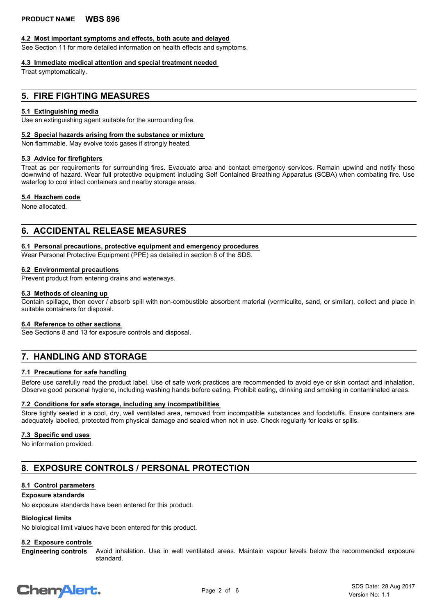## **4.2 Most important symptoms and effects, both acute and delayed**

See Section 11 for more detailed information on health effects and symptoms.

## **4.3 Immediate medical attention and special treatment needed**

Treat symptomatically.

# **5. FIRE FIGHTING MEASURES**

## **5.1 Extinguishing media**

Use an extinguishing agent suitable for the surrounding fire.

## **5.2 Special hazards arising from the substance or mixture**

Non flammable. May evolve toxic gases if strongly heated.

## **5.3 Advice for firefighters**

Treat as per requirements for surrounding fires. Evacuate area and contact emergency services. Remain upwind and notify those downwind of hazard. Wear full protective equipment including Self Contained Breathing Apparatus (SCBA) when combating fire. Use waterfog to cool intact containers and nearby storage areas.

### **5.4 Hazchem code**

None allocated.

## **6. ACCIDENTAL RELEASE MEASURES**

### **6.1 Personal precautions, protective equipment and emergency procedures**

Wear Personal Protective Equipment (PPE) as detailed in section 8 of the SDS.

### **6.2 Environmental precautions**

Prevent product from entering drains and waterways.

### **6.3 Methods of cleaning up**

Contain spillage, then cover / absorb spill with non-combustible absorbent material (vermiculite, sand, or similar), collect and place in suitable containers for disposal.

#### **6.4 Reference to other sections**

See Sections 8 and 13 for exposure controls and disposal.

# **7. HANDLING AND STORAGE**

## **7.1 Precautions for safe handling**

Before use carefully read the product label. Use of safe work practices are recommended to avoid eye or skin contact and inhalation. Observe good personal hygiene, including washing hands before eating. Prohibit eating, drinking and smoking in contaminated areas.

### **7.2 Conditions for safe storage, including any incompatibilities**

Store tightly sealed in a cool, dry, well ventilated area, removed from incompatible substances and foodstuffs. Ensure containers are adequately labelled, protected from physical damage and sealed when not in use. Check regularly for leaks or spills.

## **7.3 Specific end uses**

No information provided.

# **8. EXPOSURE CONTROLS / PERSONAL PROTECTION**

## **8.1 Control parameters**

#### **Exposure standards**

No exposure standards have been entered for this product.

## **Biological limits**

No biological limit values have been entered for this product.

## **8.2 Exposure controls**

Avoid inhalation. Use in well ventilated areas. Maintain vapour levels below the recommended exposure standard. **Engineering controls**

# **ChemAlert.**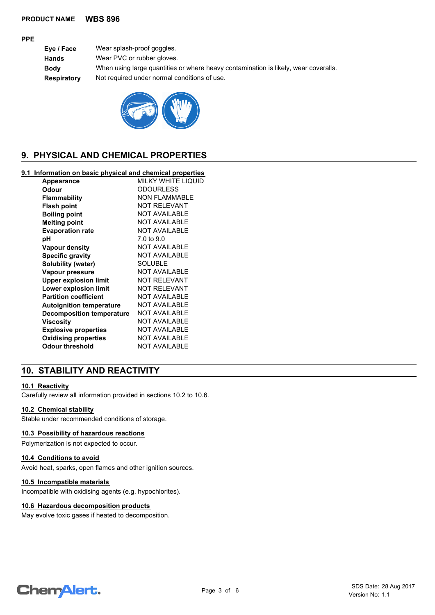### **PRODUCT NAME WBS 896**

### **PPE**

**Eye / Face** Wear splash-proof goggles. **Hands** Wear PVC or rubber gloves. **Body** When using large quantities or where heavy contamination is likely, wear coveralls. **Respiratory** Not required under normal conditions of use.



# **9. PHYSICAL AND CHEMICAL PROPERTIES**

## **9.1 Information on basic physical and chemical properties**

| Appearance                       | MILKY WHITE LIQUID   |
|----------------------------------|----------------------|
| Odour                            | <b>ODOURLESS</b>     |
| Flammability                     | <b>NON FLAMMABLE</b> |
| <b>Flash point</b>               | <b>NOT RELEVANT</b>  |
| <b>Boiling point</b>             | <b>NOT AVAILABLE</b> |
| <b>Melting point</b>             | <b>NOT AVAILABLE</b> |
| <b>Evaporation rate</b>          | <b>NOT AVAILABLE</b> |
| рH                               | 7.0 to 9.0           |
| Vapour density                   | <b>NOT AVAILABLE</b> |
| <b>Specific gravity</b>          | <b>NOT AVAILABLE</b> |
| Solubility (water)               | <b>SOLUBLE</b>       |
| Vapour pressure                  | <b>NOT AVAILABLE</b> |
| <b>Upper explosion limit</b>     | <b>NOT RELEVANT</b>  |
| Lower explosion limit            | NOT RELEVANT         |
| <b>Partition coefficient</b>     | <b>NOT AVAILABLE</b> |
| <b>Autoignition temperature</b>  | <b>NOT AVAILABLE</b> |
| <b>Decomposition temperature</b> | <b>NOT AVAILABLE</b> |
| Viscositv                        | <b>NOT AVAILABLE</b> |
| <b>Explosive properties</b>      | <b>NOT AVAILABLE</b> |
| <b>Oxidising properties</b>      | <b>NOT AVAILABLE</b> |
| Odour threshold                  | <b>NOT AVAILABLE</b> |
|                                  |                      |

# **10. STABILITY AND REACTIVITY**

## **10.1 Reactivity**

Carefully review all information provided in sections 10.2 to 10.6.

#### **10.2 Chemical stability**

Stable under recommended conditions of storage.

## **10.3 Possibility of hazardous reactions**

Polymerization is not expected to occur.

#### **10.4 Conditions to avoid**

Avoid heat, sparks, open flames and other ignition sources.

### **10.5 Incompatible materials**

Incompatible with oxidising agents (e.g. hypochlorites).

#### **10.6 Hazardous decomposition products**

May evolve toxic gases if heated to decomposition.

# **ChemAlert.**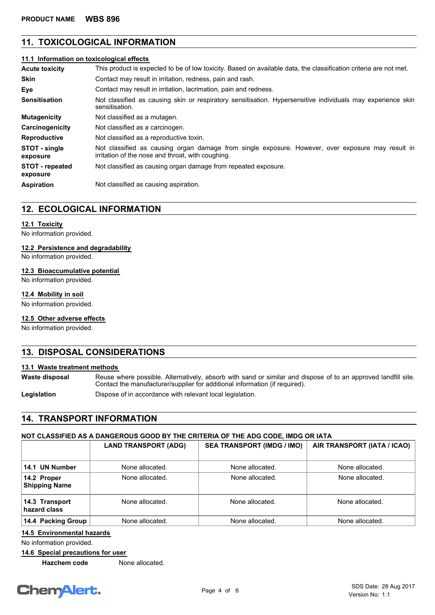# **11. TOXICOLOGICAL INFORMATION**

## **11.1 Information on toxicological effects**

| <b>Acute toxicity</b>              | This product is expected to be of low toxicity. Based on available data, the classification criteria are not met.                                      |  |  |
|------------------------------------|--------------------------------------------------------------------------------------------------------------------------------------------------------|--|--|
| <b>Skin</b>                        | Contact may result in irritation, redness, pain and rash.                                                                                              |  |  |
| Eye                                | Contact may result in irritation, lacrimation, pain and redness.                                                                                       |  |  |
| <b>Sensitisation</b>               | Not classified as causing skin or respiratory sensitisation. Hypersensitive individuals may experience skin<br>sensitisation.                          |  |  |
| <b>Mutagenicity</b>                | Not classified as a mutagen.                                                                                                                           |  |  |
| Carcinogenicity                    | Not classified as a carcinogen.                                                                                                                        |  |  |
| <b>Reproductive</b>                | Not classified as a reproductive toxin.                                                                                                                |  |  |
| STOT - single<br>exposure          | Not classified as causing organ damage from single exposure. However, over exposure may result in<br>irritation of the nose and throat, with coughing. |  |  |
| <b>STOT</b> - repeated<br>exposure | Not classified as causing organ damage from repeated exposure.                                                                                         |  |  |
| <b>Aspiration</b>                  | Not classified as causing aspiration.                                                                                                                  |  |  |

## **12. ECOLOGICAL INFORMATION**

### **12.1 Toxicity**

No information provided.

### **12.2 Persistence and degradability**

No information provided.

## **12.3 Bioaccumulative potential**

No information provided.

### **12.4 Mobility in soil**

No information provided.

## **12.5 Other adverse effects**

No information provided.

# **13. DISPOSAL CONSIDERATIONS**

#### **13.1 Waste treatment methods**

**Waste disposal**

Reuse where possible. Alternatively, absorb with sand or similar and dispose of to an approved landfill site. Contact the manufacturer/supplier for additional information (if required).

Legislation **Dispose of in accordance with relevant local legislation.** 

# **14. TRANSPORT INFORMATION**

# **NOT CLASSIFIED AS A DANGEROUS GOOD BY THE CRITERIA OF THE ADG CODE, IMDG OR IATA**

|                                     | <b>LAND TRANSPORT (ADG)</b> | <b>SEA TRANSPORT (IMDG / IMO)</b> | AIR TRANSPORT (IATA / ICAO) |
|-------------------------------------|-----------------------------|-----------------------------------|-----------------------------|
| 14.1 UN Number                      | None allocated.             | None allocated.                   | None allocated.             |
| 14.2 Proper<br><b>Shipping Name</b> | None allocated.             | None allocated.                   | None allocated.             |
| 14.3 Transport<br>hazard class      | None allocated.             | None allocated.                   | None allocated.             |
| 14.4 Packing Group                  | None allocated.             | None allocated.                   | None allocated.             |

## **14.5 Environmental hazards**

No information provided.

## **14.6 Special precautions for user**

**Hazchem code** None allocated.

# **ChemAlert.**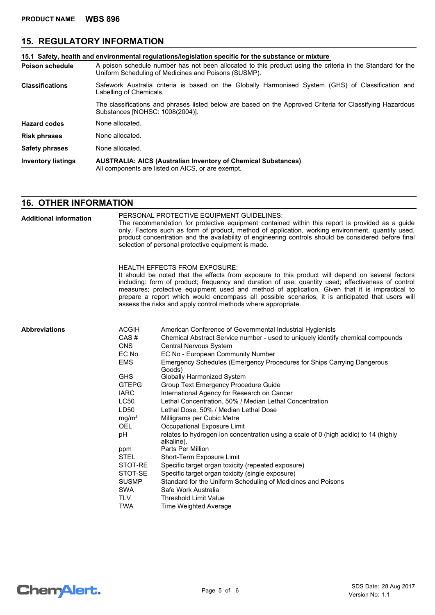# **15. REGULATORY INFORMATION**

|                           | 15.1 Safety, health and environmental requiations/legislation specific for the substance or mixture                                                                |  |  |
|---------------------------|--------------------------------------------------------------------------------------------------------------------------------------------------------------------|--|--|
| <b>Poison schedule</b>    | A poison schedule number has not been allocated to this product using the criteria in the Standard for the<br>Uniform Scheduling of Medicines and Poisons (SUSMP). |  |  |
| <b>Classifications</b>    | Safework Australia criteria is based on the Globally Harmonised System (GHS) of Classification and<br>Labelling of Chemicals.                                      |  |  |
|                           | The classifications and phrases listed below are based on the Approved Criteria for Classifying Hazardous<br>Substances [NOHSC: 1008(2004)].                       |  |  |
| <b>Hazard codes</b>       | None allocated.                                                                                                                                                    |  |  |
| <b>Risk phrases</b>       | None allocated.                                                                                                                                                    |  |  |
| <b>Safety phrases</b>     | None allocated.                                                                                                                                                    |  |  |
| <b>Inventory listings</b> | <b>AUSTRALIA: AICS (Australian Inventory of Chemical Substances)</b><br>All components are listed on AICS, or are exempt.                                          |  |  |

# **16. OTHER INFORMATION**

| <b>Additional information</b> | PERSONAL PROTECTIVE EQUIPMENT GUIDELINES:<br>The recommendation for protective equipment contained within this report is provided as a guide<br>only. Factors such as form of product, method of application, working environment, quantity used,<br>product concentration and the availability of engineering controls should be considered before final<br>selection of personal protective equipment is made.                                                                                               |                                                                                                                                                                                                                                                                                                                                                                                                                                                                                                                                                                                                                                                                                                    |  |  |
|-------------------------------|----------------------------------------------------------------------------------------------------------------------------------------------------------------------------------------------------------------------------------------------------------------------------------------------------------------------------------------------------------------------------------------------------------------------------------------------------------------------------------------------------------------|----------------------------------------------------------------------------------------------------------------------------------------------------------------------------------------------------------------------------------------------------------------------------------------------------------------------------------------------------------------------------------------------------------------------------------------------------------------------------------------------------------------------------------------------------------------------------------------------------------------------------------------------------------------------------------------------------|--|--|
|                               | HEALTH EFFECTS FROM EXPOSURE:<br>It should be noted that the effects from exposure to this product will depend on several factors<br>including: form of product; frequency and duration of use; quantity used; effectiveness of control<br>measures; protective equipment used and method of application. Given that it is impractical to<br>prepare a report which would encompass all possible scenarios, it is anticipated that users will<br>assess the risks and apply control methods where appropriate. |                                                                                                                                                                                                                                                                                                                                                                                                                                                                                                                                                                                                                                                                                                    |  |  |
| Abbreviations                 | <b>ACGIH</b><br>CAS#<br><b>CNS</b><br>EC No.<br><b>EMS</b><br><b>GHS</b><br><b>GTEPG</b><br><b>IARC</b><br>LC50<br>LD50<br>mg/m <sup>3</sup><br><b>OEL</b><br>pH                                                                                                                                                                                                                                                                                                                                               | American Conference of Governmental Industrial Hygienists<br>Chemical Abstract Service number - used to uniquely identify chemical compounds<br><b>Central Nervous System</b><br>EC No - European Community Number<br>Emergency Schedules (Emergency Procedures for Ships Carrying Dangerous<br>Goods)<br>Globally Harmonized System<br>Group Text Emergency Procedure Guide<br>International Agency for Research on Cancer<br>Lethal Concentration, 50% / Median Lethal Concentration<br>Lethal Dose, 50% / Median Lethal Dose<br>Milligrams per Cubic Metre<br>Occupational Exposure Limit<br>relates to hydrogen ion concentration using a scale of 0 (high acidic) to 14 (highly<br>alkaline). |  |  |
|                               | ppm<br><b>STEL</b><br>STOT-RE<br>STOT-SE<br><b>SUSMP</b><br><b>SWA</b><br><b>TLV</b><br><b>TWA</b>                                                                                                                                                                                                                                                                                                                                                                                                             | Parts Per Million<br>Short-Term Exposure Limit<br>Specific target organ toxicity (repeated exposure)<br>Specific target organ toxicity (single exposure)<br>Standard for the Uniform Scheduling of Medicines and Poisons<br>Safe Work Australia<br><b>Threshold Limit Value</b><br>Time Weighted Average                                                                                                                                                                                                                                                                                                                                                                                           |  |  |

Chem<sup>Alert.</sup>